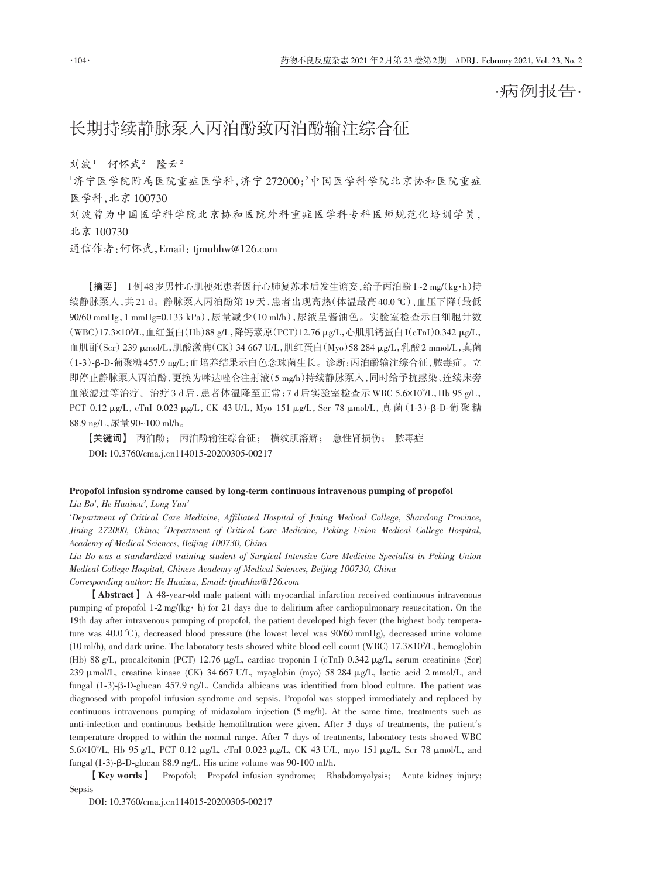·病例报告·

## 长期持续静脉泵入丙泊酚致丙泊酚输注综合征

刘波1 何怀武2 隆云2

 $^{\rm 1}$ 济宁医学院附属医学社,济宁 272000;2中国医学科学院北京协和医院重症 医学科,北京 100730

刘波曾为中国医学科学院北京协和医院外科重症医学科专科医师规范化培训学员, 北京 100730

通信作者:何怀武,Email:tjmuhhw@126.com

【摘要】 1例48岁男性心肌梗死患者因行心肺复苏术后发生谵妄,给予丙泊酚1~2 mg/(kg·h)持 续静脉泵入,共 21 d。静脉泵入丙泊酚第 19 天,患者出现高热(体温最高 40.0 ℃)、血压下降(最低 90/60 mmHg,1 mmHg=0.133 kPa),尿量减少(10 ml/h),尿液呈酱油色。实验室检查示白细胞计数 (WBC)17.3×10°/L,血红蛋白(Hb)88 g/L,降钙素原(PCT)12.76 μg/L,心肌肌钙蛋白I(cTnI)0.342 μg/L, 血肌酐(Scr)239 μmol/L,肌酸激酶(CK)34 667 U/L,肌红蛋白(Myo)58 284 μg/L,乳酸2 mmol/L,真菌 (1‑3)‑β‑D‑葡聚糖457.9 ng/L;血培养结果示白色念珠菌生长。诊断:丙泊酚输注综合征,脓毒症。立 即停止静脉泵入丙泊酚,更换为咪达唑仑注射液(5 mg/h)持续静脉泵入,同时给予抗感染、连续床旁 血液滤过等治疗。治疗 3 d后,患者体温降至正常;7 d后实验室检查示 WBC 5.6×10°/L,Hb 95 g/L, PCT 0.12 μg/L, cTnI 0.023 μg/L, CK 43 U/L, Myo 151 μg/L, Scr 78 μmol/L, 真 菌(1-3)-β-D-葡 聚 糖 88.9 ng/L,尿量90~100 ml/h。

【关键词】 丙泊酚; 丙泊酚输注综合征; 横纹肌溶解; 急性肾损伤; 脓毒症 DOI: 10.3760/cma.j.cn114015‑20200305‑00217

## Propofol infusion syndrome caused by long-term continuous intravenous pumping of propofol *Liu Bo1 , He Huaiwu2 , Long Yun2*

*1 Department of Critical Care Medicine, Affiliated Hospital of Jining Medical College, Shandong Province, Jining 272000, China; <sup>2</sup> Department of Critical Care Medicine, Peking Union Medical College Hospital, Academy of Medical Sciences, Beijing 100730, China*

*Liu Bo was a standardized training student of Surgical Intensive Care Medicine Specialist in Peking Union Medical College Hospital, Chinese Academy of Medical Sciences, Beijing 100730, China Corresponding author: He Huaiwu, Email: tjmuhhw@126.com*

【Abstract】 A 48‑year‑old male patient with myocardial infarction received continuous intravenous pumping of propofol 1-2 mg/(kg· h) for 21 days due to delirium after cardiopulmonary resuscitation. On the 19th day after intravenous pumping of propofol, the patient developed high fever (the highest body temperature was 40.0 ℃ ), decreased blood pressure (the lowest level was 90/60 mmHg), decreased urine volume (10 ml/h), and dark urine. The laboratory tests showed white blood cell count (WBC) 17.3×109 /L, hemoglobin (Hb) 88 g/L, procalcitonin (PCT) 12.76 μg/L, cardiac troponin I (cTnI) 0.342 μg/L, serum creatinine (Scr) 239 μmol/L, creatine kinase (CK) 34 667 U/L, myoglobin (myo) 58 284 μg/L, lactic acid 2 mmol/L, and fungal (1‑3)‑β‑D‑glucan 457.9 ng/L. Candida albicans was identified from blood culture. The patient was diagnosed with propofol infusion syndrome and sepsis. Propofol was stopped immediately and replaced by continuous intravenous pumping of midazolam injection (5 mg/h). At the same time, treatments such as anti-infection and continuous bedside hemofiltration were given. After 3 days of treatments, the patient's temperature dropped to within the normal range. After 7 days of treatments, laboratory tests showed WBC 5.6×109 /L, Hb 95 g/L, PCT 0.12 μg/L, cTnI 0.023 μg/L, CK 43 U/L, myo 151 μg/L, Scr 78 μmol/L, and fungal (1‑3)‑β‑D‑glucan 88.9 ng/L. His urine volume was 90‑100 ml/h.

【Key words】 Propofol; Propofol infusion syndrome; Rhabdomyolysis; Acute kidney injury; Sepsis

DOI: 10.3760/cma.j.cn114015‑20200305‑00217